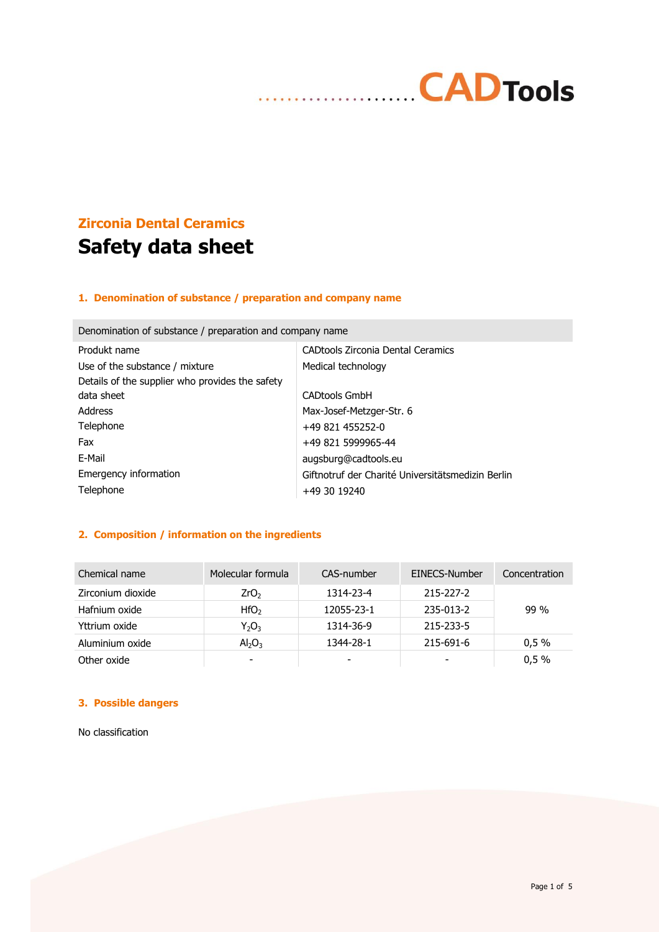# **CADTools** . . . . . . . . . . . . . . . . . . . .

# **Zirconia Dental Ceramics Safety data sheet**

## **1. Denomination of substance / preparation and company name**

| Produkt name                                    | CADtools Zirconia Dental Ceramics                 |  |
|-------------------------------------------------|---------------------------------------------------|--|
| Use of the substance / mixture                  | Medical technology                                |  |
| Details of the supplier who provides the safety |                                                   |  |
| data sheet                                      | <b>CADtools GmbH</b>                              |  |
| Address                                         | Max-Josef-Metzger-Str. 6                          |  |
| Telephone                                       | +49 821 455252-0                                  |  |
| Fax                                             | +49 821 5999965-44                                |  |
| F-Mail                                          | augsburg@cadtools.eu                              |  |
| Emergency information                           | Giftnotruf der Charité Universitätsmedizin Berlin |  |
| Telephone                                       | +49 30 19240                                      |  |

# Denomination of substance / preparation and company name

## **2. Composition / information on the ingredients**

| Chemical name     | Molecular formula           | CAS-number | EINECS-Number | Concentration |
|-------------------|-----------------------------|------------|---------------|---------------|
| Zirconium dioxide | ZrO <sub>2</sub>            | 1314-23-4  | 215-227-2     |               |
| Hafnium oxide     | HfO <sub>2</sub>            | 12055-23-1 | 235-013-2     | $99\%$        |
| Yttrium oxide     | $Y_2O_3$                    | 1314-36-9  | 215-233-5     |               |
| Aluminium oxide   | $\mathsf{Al}_2\mathsf{O}_3$ | 1344-28-1  | 215-691-6     | 0.5%          |
| Other oxide       | $\overline{\phantom{a}}$    | -          |               | 0,5%          |

# **3. Possible dangers**

No classification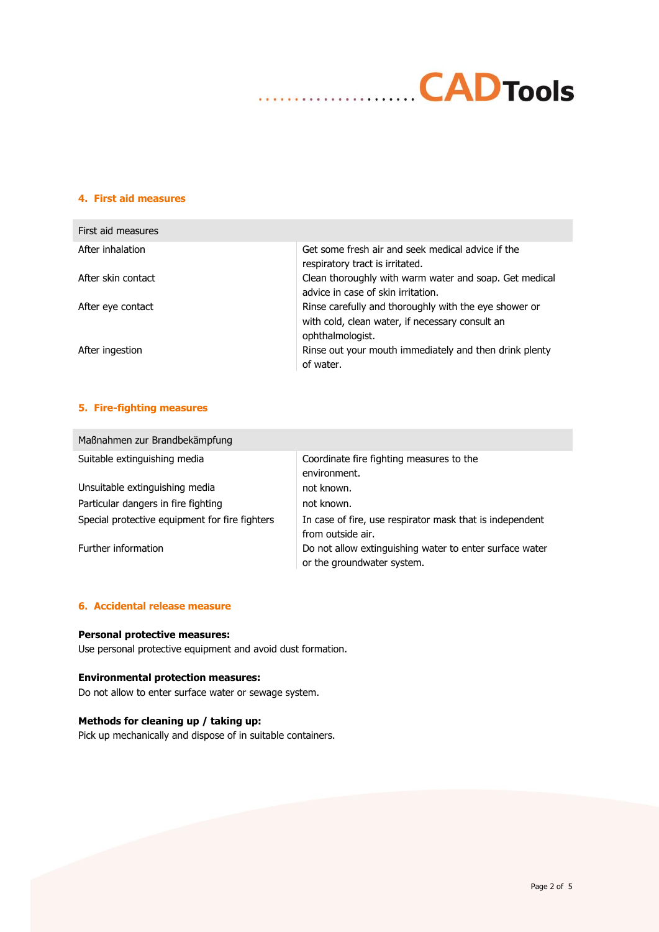

#### **4. First aid measures**

| First aid measures |                                                                                                                              |
|--------------------|------------------------------------------------------------------------------------------------------------------------------|
| After inhalation   | Get some fresh air and seek medical advice if the<br>respiratory tract is irritated.                                         |
| After skin contact | Clean thoroughly with warm water and soap. Get medical<br>advice in case of skin irritation.                                 |
| After eye contact  | Rinse carefully and thoroughly with the eye shower or<br>with cold, clean water, if necessary consult an<br>ophthalmologist. |
| After ingestion    | Rinse out your mouth immediately and then drink plenty<br>of water.                                                          |

# **5. Fire-fighting measures**

| Maßnahmen zur Brandbekämpfung                  |                                                                                       |
|------------------------------------------------|---------------------------------------------------------------------------------------|
| Suitable extinguishing media                   | Coordinate fire fighting measures to the<br>environment.                              |
| Unsuitable extinguishing media                 | not known.                                                                            |
| Particular dangers in fire fighting            | not known.                                                                            |
| Special protective equipment for fire fighters | In case of fire, use respirator mask that is independent<br>from outside air.         |
| Further information                            | Do not allow extinguishing water to enter surface water<br>or the groundwater system. |

#### **6. Accidental release measure**

#### **Personal protective measures:**

Use personal protective equipment and avoid dust formation.

## **Environmental protection measures:**

Do not allow to enter surface water or sewage system.

# **Methods for cleaning up / taking up:**

Pick up mechanically and dispose of in suitable containers.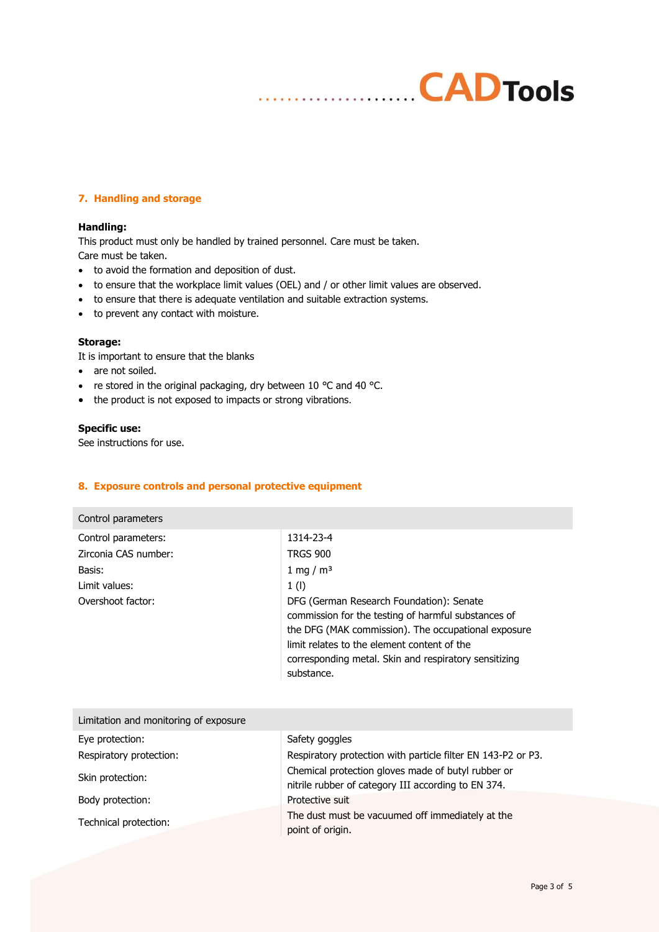### **7. Handling and storage**

#### **Handling:**

This product must only be handled by trained personnel. Care must be taken. Care must be taken.

- to avoid the formation and deposition of dust.
- to ensure that the workplace limit values (OEL) and / or other limit values are observed.

. . . . . . . . . . . . .

- to ensure that there is adequate ventilation and suitable extraction systems.
- to prevent any contact with moisture.

#### **Storage:**

It is important to ensure that the blanks

- are not soiled.
- re stored in the original packaging, dry between 10 °C and 40 °C.
- the product is not exposed to impacts or strong vibrations.

#### **Specific use:**

See instructions for use.

#### **8. Exposure controls and personal protective equipment**

| Control parameters   |                                                                                                                                                                                                                                                                              |
|----------------------|------------------------------------------------------------------------------------------------------------------------------------------------------------------------------------------------------------------------------------------------------------------------------|
| Control parameters:  | 1314-23-4                                                                                                                                                                                                                                                                    |
| Zirconia CAS number: | <b>TRGS 900</b>                                                                                                                                                                                                                                                              |
| Basis:               | 1 mg / $m3$                                                                                                                                                                                                                                                                  |
| Limit values:        | 1 <sub>(l)</sub>                                                                                                                                                                                                                                                             |
| Overshoot factor:    | DFG (German Research Foundation): Senate<br>commission for the testing of harmful substances of<br>the DFG (MAK commission). The occupational exposure<br>limit relates to the element content of the<br>corresponding metal. Skin and respiratory sensitizing<br>substance. |

| Limitation and monitoring of exposure |                                                                                                           |
|---------------------------------------|-----------------------------------------------------------------------------------------------------------|
| Eye protection:                       | Safety goggles                                                                                            |
| Respiratory protection:               | Respiratory protection with particle filter EN 143-P2 or P3.                                              |
| Skin protection:                      | Chemical protection gloves made of butyl rubber or<br>nitrile rubber of category III according to EN 374. |
| Body protection:                      | Protective suit                                                                                           |
| Technical protection:                 | The dust must be vacuumed off immediately at the<br>point of origin.                                      |

**CADTools**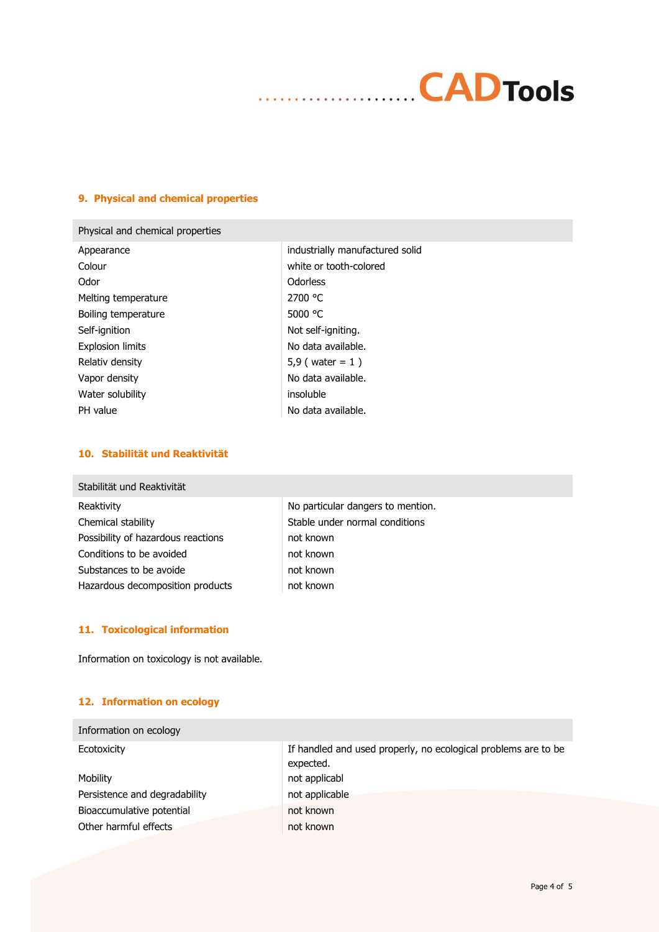

#### **9. Physical and chemical properties**

## Physical and chemical properties

| Appearance          |
|---------------------|
| Colour              |
| Odor                |
| Melting temperature |
| Boiling temperature |
| Self-ignition       |
| Explosion limits    |
| Relativ density     |
| Vapor density       |
| Water solubility    |
| PH value            |

industrially manufactured solid white or tooth-colored **Odorless** 2700 °C 5000 °C Not self-igniting. No data available.  $5,9$  ( water = 1 ) No data available. insoluble No data available.

## **10. Stabilität und Reaktivität**

| Stabilität und Reaktivität         |                                   |
|------------------------------------|-----------------------------------|
| Reaktivity                         | No particular dangers to mention. |
| Chemical stability                 | Stable under normal conditions    |
| Possibility of hazardous reactions | not known                         |
| Conditions to be avoided           | not known                         |
| Substances to be avoide            | not known                         |
| Hazardous decomposition products   | not known                         |

## **11. Toxicological information**

Information on toxicology is not available.

#### **12. Information on ecology**

| Information on ecology        |                                                                             |
|-------------------------------|-----------------------------------------------------------------------------|
| Ecotoxicity                   | If handled and used properly, no ecological problems are to be<br>expected. |
| Mobility                      | not applicabl                                                               |
| Persistence and degradability | not applicable                                                              |
| Bioaccumulative potential     | not known                                                                   |
| Other harmful effects         | not known                                                                   |